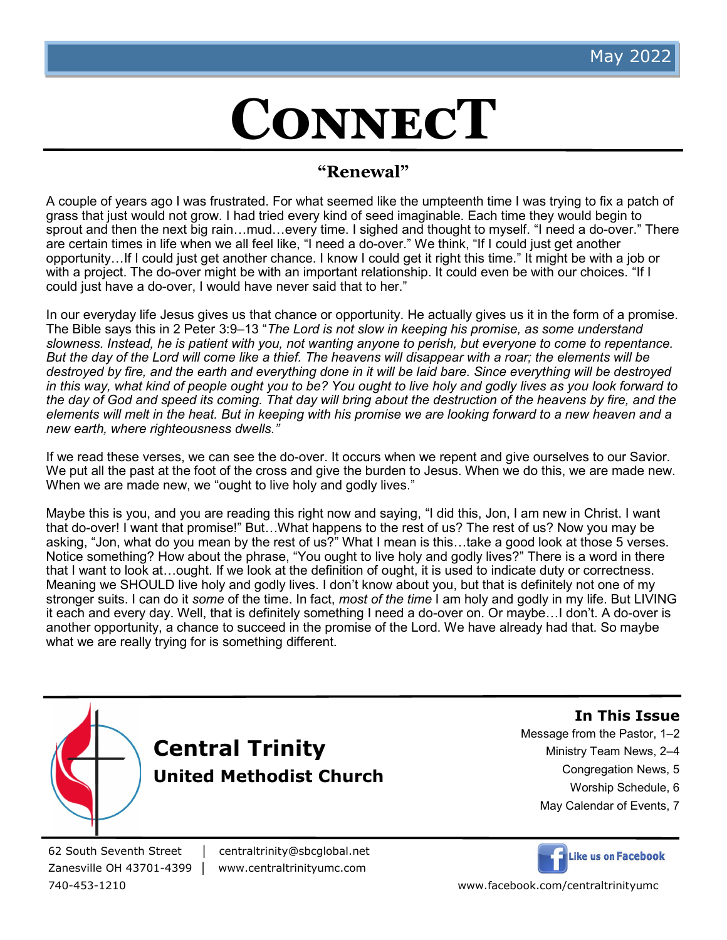## **ConnecT**

#### **"Renewal"**

A couple of years ago I was frustrated. For what seemed like the umpteenth time I was trying to fix a patch of grass that just would not grow. I had tried every kind of seed imaginable. Each time they would begin to sprout and then the next big rain…mud…every time. I sighed and thought to myself. "I need a do-over." There are certain times in life when we all feel like, "I need a do-over." We think, "If I could just get another opportunity…If I could just get another chance. I know I could get it right this time." It might be with a job or with a project. The do-over might be with an important relationship. It could even be with our choices. "If I could just have a do-over, I would have never said that to her."

In our everyday life Jesus gives us that chance or opportunity. He actually gives us it in the form of a promise. The Bible says this in 2 Peter 3:9–13 "*The Lord is not slow in keeping his promise, as some understand slowness. Instead, he is patient with you, not wanting anyone to perish, but everyone to come to repentance. But the day of the Lord will come like a thief. The heavens will disappear with a roar; the elements will be destroyed by fire, and the earth and everything done in it will be laid bare. Since everything will be destroyed in this way, what kind of people ought you to be? You ought to live holy and godly lives as you look forward to the day of God and speed its coming. That day will bring about the destruction of the heavens by fire, and the elements will melt in the heat. But in keeping with his promise we are looking forward to a new heaven and a new earth, where righteousness dwells."* 

If we read these verses, we can see the do-over. It occurs when we repent and give ourselves to our Savior. We put all the past at the foot of the cross and give the burden to Jesus. When we do this, we are made new. When we are made new, we "ought to live holy and godly lives."

Maybe this is you, and you are reading this right now and saying, "I did this, Jon, I am new in Christ. I want that do-over! I want that promise!" But…What happens to the rest of us? The rest of us? Now you may be asking, "Jon, what do you mean by the rest of us?" What I mean is this…take a good look at those 5 verses. Notice something? How about the phrase, "You ought to live holy and godly lives?" There is a word in there that I want to look at…ought. If we look at the definition of ought, it is used to indicate duty or correctness. Meaning we SHOULD live holy and godly lives. I don't know about you, but that is definitely not one of my stronger suits. I can do it *some* of the time. In fact, *most of the time* I am holy and godly in my life. But LIVING it each and every day. Well, that is definitely something I need a do-over on. Or maybe…I don't. A do-over is another opportunity, a chance to succeed in the promise of the Lord. We have already had that. So maybe what we are really trying for is something different.





**In This Issue**

Message from the Pastor, 1–2

- Ministry Team News, 2–4
	- Congregation News, 5
		- Worship Schedule, 6
- May Calendar of Events, 7

62 South Seventh Street │ centraltrinity@sbcglobal.net Zanesville OH 43701-4399 │ www.centraltrinityumc.com



740-453-1210 www.facebook.com/centraltrinityumc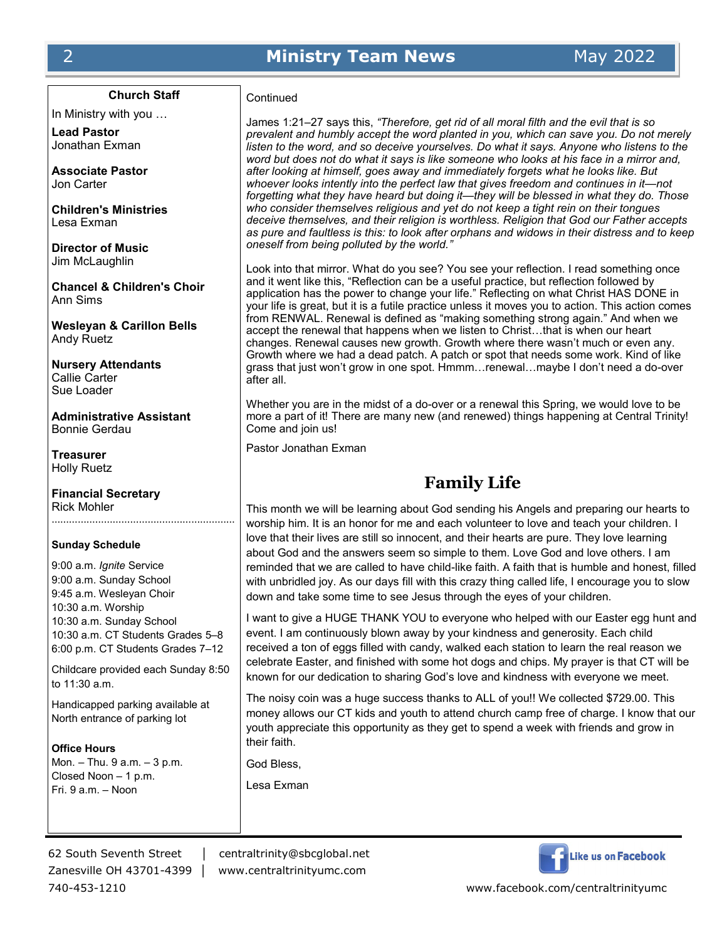#### 2 **Ministry Team News** May 2022

**Church Staff**

In Ministry with you …

**Lead Pastor** Jonathan Exman

**Associate Pastor** Jon Carter

**Children's Ministries** Lesa Exman

**Director of Music** Jim McLaughlin

**Chancel & Children's Choir** Ann Sims

**Wesleyan & Carillon Bells** Andy Ruetz

**Nursery Attendants** Callie Carter Sue Loader

**Administrative Assistant** Bonnie Gerdau

**Treasurer** Holly Ruetz

**Financial Secretary** Rick Mohler ………………………………………………………

#### **Sunday Schedule**

9:00 a.m. *Ignite* Service 9:00 a.m. Sunday School 9:45 a.m. Wesleyan Choir 10:30 a.m. Worship 10:30 a.m. Sunday School 10:30 a.m. CT Students Grades 5–8 6:00 p.m. CT Students Grades 7–12

Childcare provided each Sunday 8:50 to 11:30 a.m.

Handicapped parking available at North entrance of parking lot

**Office Hours** Mon. – Thu. 9 a.m. – 3 p.m. Closed Noon – 1 p.m. Fri. 9 a.m. – Noon

Zanesville OH 43701-4399 │ www.centraltrinityumc.com

**Continued** 

James 1:21–27 says this, *"Therefore, get rid of all moral filth and the evil that is so prevalent and humbly accept the word planted in you, which can save you. Do not merely listen to the word, and so deceive yourselves. Do what it says. Anyone who listens to the word but does not do what it says is like someone who looks at his face in a mirror and, after looking at himself, goes away and immediately forgets what he looks like. But whoever looks intently into the perfect law that gives freedom and continues in it—not forgetting what they have heard but doing it—they will be blessed in what they do. Those who consider themselves religious and yet do not keep a tight rein on their tongues deceive themselves, and their religion is worthless. Religion that God our Father accepts as pure and faultless is this: to look after orphans and widows in their distress and to keep oneself from being polluted by the world."*

Look into that mirror. What do you see? You see your reflection. I read something once and it went like this, "Reflection can be a useful practice, but reflection followed by application has the power to change your life." Reflecting on what Christ HAS DONE in your life is great, but it is a futile practice unless it moves you to action. This action comes from RENWAL. Renewal is defined as "making something strong again." And when we accept the renewal that happens when we listen to Christ…that is when our heart changes. Renewal causes new growth. Growth where there wasn't much or even any. Growth where we had a dead patch. A patch or spot that needs some work. Kind of like grass that just won't grow in one spot. Hmmm…renewal…maybe I don't need a do-over after all.

Whether you are in the midst of a do-over or a renewal this Spring, we would love to be more a part of it! There are many new (and renewed) things happening at Central Trinity! Come and join us!

Pastor Jonathan Exman

#### **Family Life**

This month we will be learning about God sending his Angels and preparing our hearts to worship him. It is an honor for me and each volunteer to love and teach your children. I love that their lives are still so innocent, and their hearts are pure. They love learning about God and the answers seem so simple to them. Love God and love others. I am reminded that we are called to have child-like faith. A faith that is humble and honest, filled with unbridled joy. As our days fill with this crazy thing called life, I encourage you to slow down and take some time to see Jesus through the eyes of your children.

I want to give a HUGE THANK YOU to everyone who helped with our Easter egg hunt and event. I am continuously blown away by your kindness and generosity. Each child received a ton of eggs filled with candy, walked each station to learn the real reason we celebrate Easter, and finished with some hot dogs and chips. My prayer is that CT will be known for our dedication to sharing God's love and kindness with everyone we meet.

The noisy coin was a huge success thanks to ALL of you!! We collected \$729.00. This money allows our CT kids and youth to attend church camp free of charge. I know that our youth appreciate this opportunity as they get to spend a week with friends and grow in their faith.

God Bless,

Lesa Exman

62 South Seventh Street │ centraltrinity@sbcglobal.net



740-453-1210 www.facebook.com/centraltrinityumc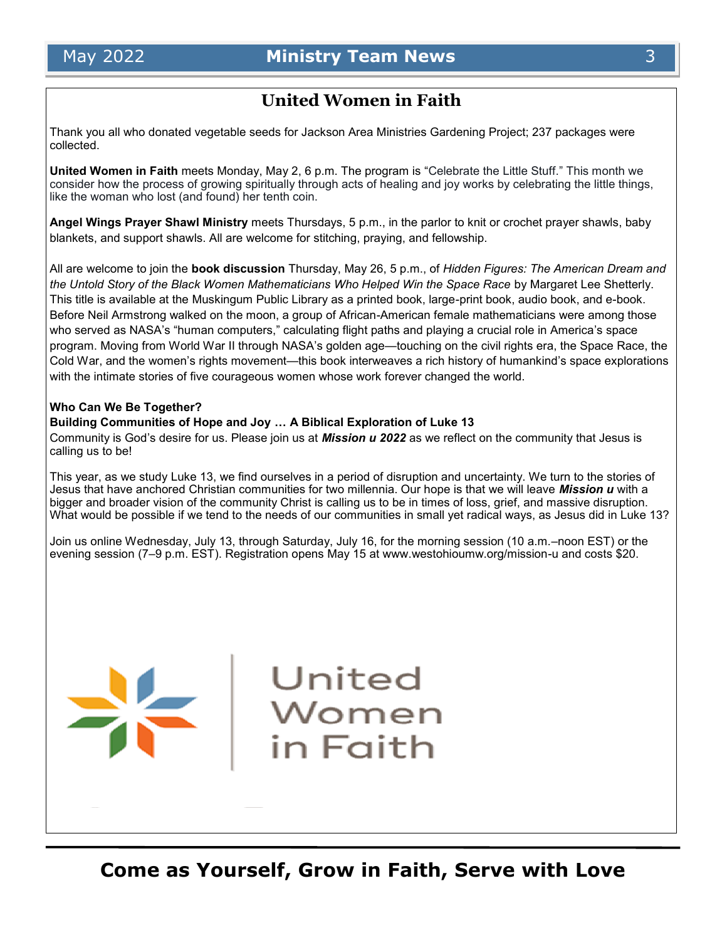#### **United Women in Faith**

Thank you all who donated vegetable seeds for Jackson Area Ministries Gardening Project; 237 packages were collected.

**United Women in Faith** meets Monday, May 2, 6 p.m. The program is "Celebrate the Little Stuff." This month we consider how the process of growing spiritually through acts of healing and joy works by celebrating the little things, like the woman who lost (and found) her tenth coin.

**Angel Wings Prayer Shawl Ministry** meets Thursdays, 5 p.m., in the parlor to knit or crochet prayer shawls, baby blankets, and support shawls. All are welcome for stitching, praying, and fellowship.

All are welcome to join the **book discussion** Thursday, May 26, 5 p.m., of *Hidden Figures: The American Dream and the Untold Story of the Black Women Mathematicians Who Helped Win the Space Race* by Margaret Lee Shetterly. This title is available at the Muskingum Public Library as a printed book, large-print book, audio book, and e-book. Before Neil Armstrong walked on the moon, a group of African-American female mathematicians were among those who served as NASA's "human computers," calculating flight paths and playing a crucial role in America's space program. Moving from World War II through NASA's golden age—touching on the civil rights era, the Space Race, the Cold War, and the women's rights movement—this book interweaves a rich history of humankind's space explorations with the intimate stories of five courageous women whose work forever changed the world.

#### **Who Can We Be Together?**

#### **Building Communities of Hope and Joy … A Biblical Exploration of Luke 13**

Community is God's desire for us. Please join us at *Mission u 2022* as we reflect on the community that Jesus is calling us to be!

This year, as we study Luke 13, we find ourselves in a period of disruption and uncertainty. We turn to the stories of Jesus that have anchored Christian communities for two millennia. Our hope is that we will leave *Mission u* with a bigger and broader vision of the community Christ is calling us to be in times of loss, grief, and massive disruption. What would be possible if we tend to the needs of our communities in small yet radical ways, as Jesus did in Luke 13?

Join us online Wednesday, July 13, through Saturday, July 16, for the morning session (10 a.m.–noon EST) or the evening session (7–9 p.m. EST). Registration opens May 15 at www.westohioumw.org/mission-u and costs \$20.

United

Women

in Faith

**Come as Yourself, Grow in Faith, Serve with Love**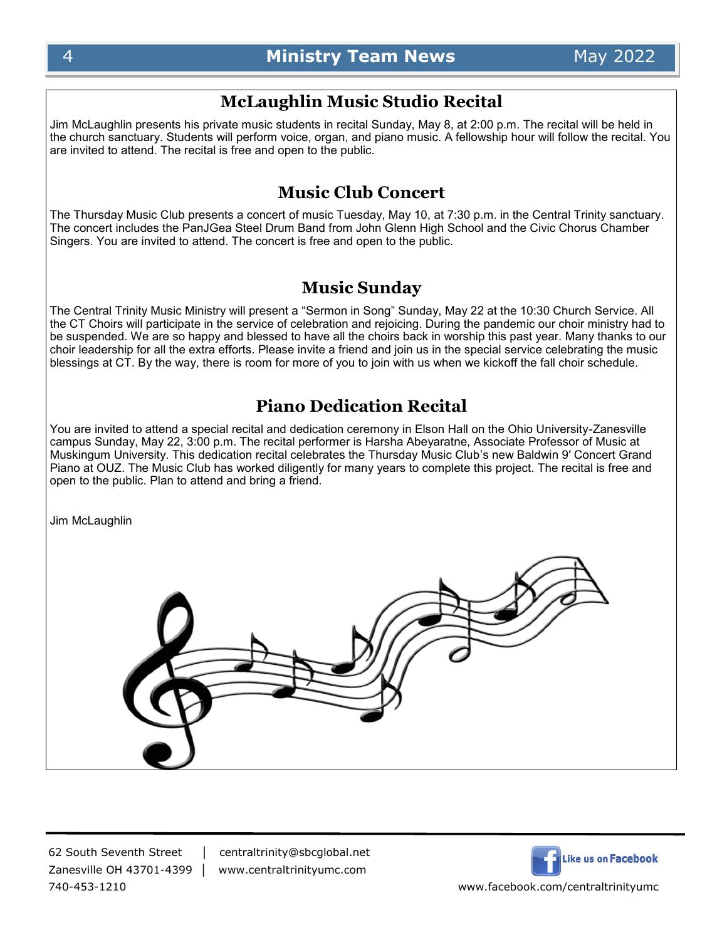#### **McLaughlin Music Studio Recital**

Jim McLaughlin presents his private music students in recital Sunday, May 8, at 2:00 p.m. The recital will be held in the church sanctuary. Students will perform voice, organ, and piano music. A fellowship hour will follow the recital. You are invited to attend. The recital is free and open to the public.

#### **Music Club Concert**

The Thursday Music Club presents a concert of music Tuesday, May 10, at 7:30 p.m. in the Central Trinity sanctuary. The concert includes the PanJGea Steel Drum Band from John Glenn High School and the Civic Chorus Chamber Singers. You are invited to attend. The concert is free and open to the public.

#### **Music Sunday**

The Central Trinity Music Ministry will present a "Sermon in Song" Sunday, May 22 at the 10:30 Church Service. All the CT Choirs will participate in the service of celebration and rejoicing. During the pandemic our choir ministry had to be suspended. We are so happy and blessed to have all the choirs back in worship this past year. Many thanks to our choir leadership for all the extra efforts. Please invite a friend and join us in the special service celebrating the music blessings at CT. By the way, there is room for more of you to join with us when we kickoff the fall choir schedule.

#### **Piano Dedication Recital**

You are invited to attend a special recital and dedication ceremony in Elson Hall on the Ohio University-Zanesville campus Sunday, May 22, 3:00 p.m. The recital performer is Harsha Abeyaratne, Associate Professor of Music at Muskingum University. This dedication recital celebrates the Thursday Music Club's new Baldwin 9′ Concert Grand Piano at OUZ. The Music Club has worked diligently for many years to complete this project. The recital is free and open to the public. Plan to attend and bring a friend.

Jim McLaughlin

740-453-1210 www.facebook.com/centraltrinityumc

62 South Seventh Street │ centraltrinity@sbcglobal.net Zanesville OH 43701-4399 │ www.centraltrinityumc.com

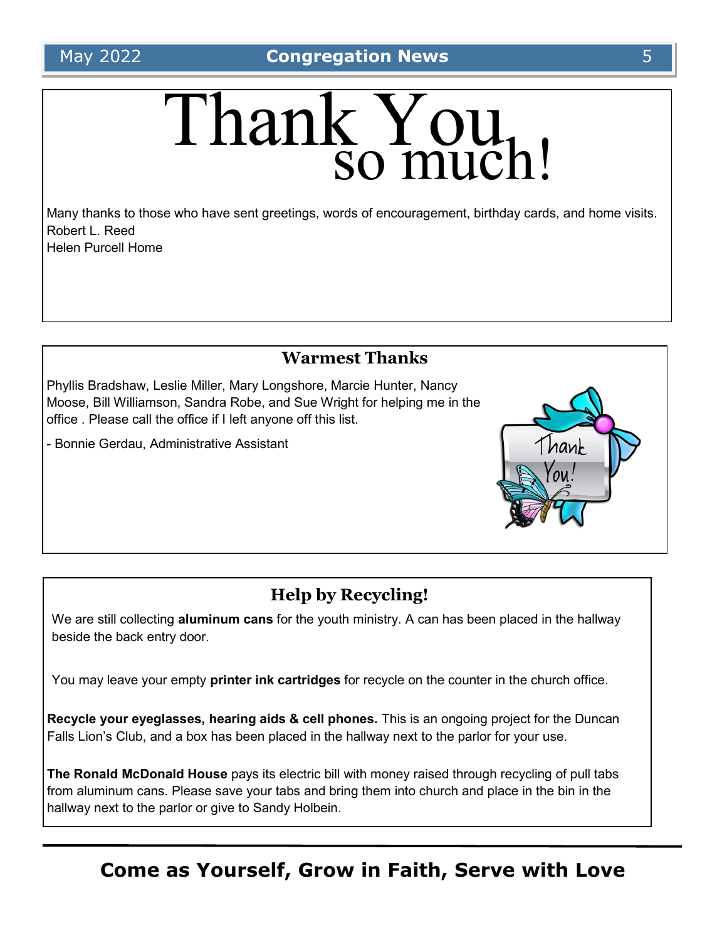# Thank You,

Many thanks to those who have sent greetings, words of encouragement, birthday cards, and home visits. Robert L. Reed Helen Purcell Home

#### **Warmest Thanks**

Phyllis Bradshaw, Leslie Miller, Mary Longshore, Marcie Hunter, Nancy Moose, Bill Williamson, Sandra Robe, and Sue Wright for helping me in the office . Please call the office if I left anyone off this list.

- Bonnie Gerdau, Administrative Assistant

### **Help by Recycling!**

We are still collecting **aluminum cans** for the youth ministry. A can has been placed in the hallway beside the back entry door.

You may leave your empty **printer ink cartridges** for recycle on the counter in the church office.

**Recycle your eyeglasses, hearing aids & cell phones.** This is an ongoing project for the Duncan Falls Lion's Club, and a box has been placed in the hallway next to the parlor for your use.

**The Ronald McDonald House** pays its electric bill with money raised through recycling of pull tabs from aluminum cans. Please save your tabs and bring them into church and place in the bin in the hallway next to the parlor or give to Sandy Holbein.

## **Come as Yourself, Grow in Faith, Serve with Love**

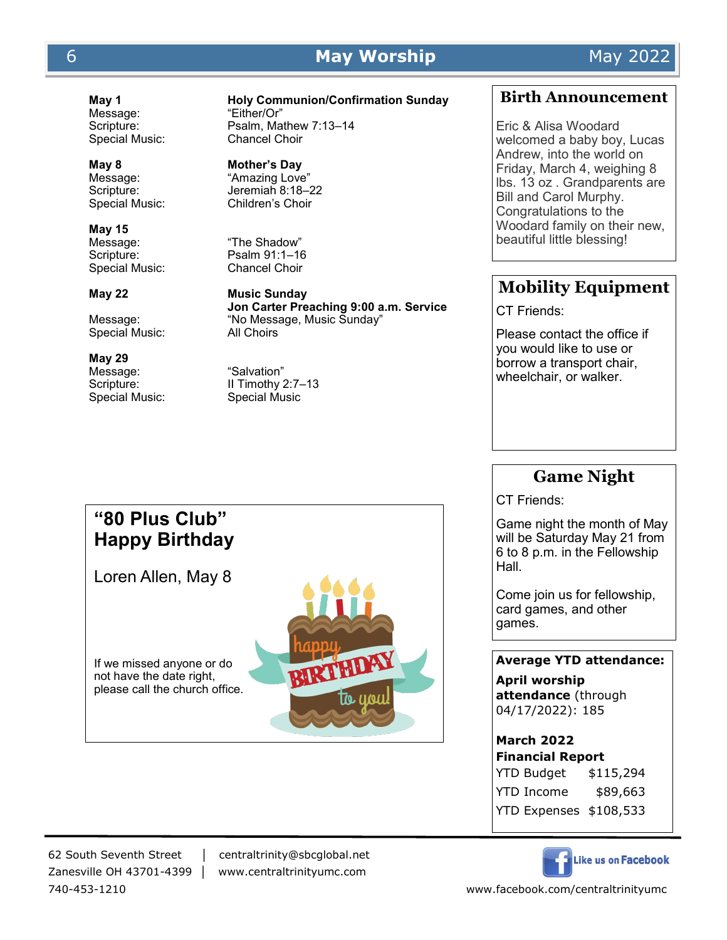#### 6 **May Worship** May 2022

Message: "Either/Or"<br>Scripture: Psalm. Ma

**May 8 Mother's Day**

**May 15** Message: "The Shadow"<br>Scripture: Psalm 91:1-16 Special Music:

Special Music:

#### **May 29**

Message: "Salvation"<br>Scripture: Il Timothy 2

**May 1 Holy Communion/Confirmation Sunday**

Psalm, Mathew 7:13-14 Special Music: Chancel Choir

Message: "Amazing Love" Scripture: Jeremiah 8:18–22 Special Music: Children's Choir

Psalm 91:1–16<br>Chancel Choir

**May 22 Music Sunday Jon Carter Preaching 9:00 a.m. Service** Message: "No Message, Music Sunday"

II Timothy 2:7-13 Special Music: Special Music

#### **Birth Announcement**

Eric & Alisa Woodard welcomed a baby boy, Lucas Andrew, into the world on Friday, March 4, weighing 8 lbs. 13 oz . Grandparents are Bill and Carol Murphy. Congratulations to the Woodard family on their new, beautiful little blessing!

#### **Mobility Equipment**

CT Friends:

Please contact the office if you would like to use or borrow a transport chair, wheelchair, or walker.

#### **Game Night**

CT Friends:

Game night the month of May will be Saturday May 21 from 6 to 8 p.m. in the Fellowship Hall.

Come join us for fellowship, card games, and other games.

#### **Average YTD attendance:**

**April worship attendance** (through 04/17/2022): 185

#### **March 2022**

**Financial Report** YTD Budget \$115,294 YTD Income \$89,663 YTD Expenses \$108,533

Like us on Facebook

## **"80 Plus Club" Happy Birthday**  Loren Allen, May 8

If we missed anyone or do not have the date right, please call the church office.



62 South Seventh Street │ centraltrinity@sbcglobal.net Zanesville OH 43701-4399 │ www.centraltrinityumc.com

740-453-1210 www.facebook.com/centraltrinityumc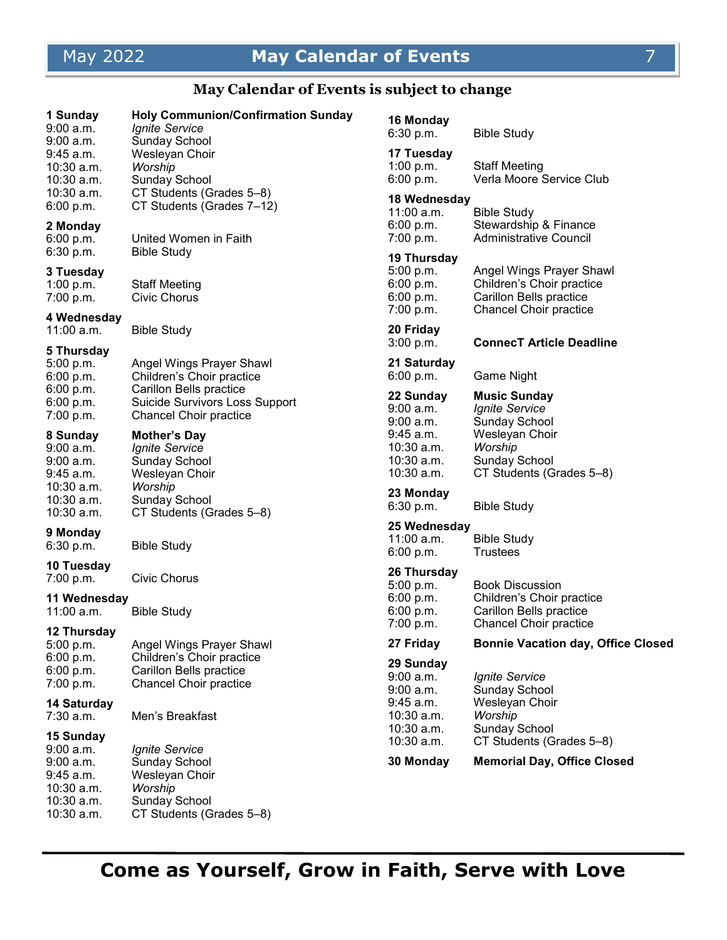## May 2022 **May Calendar of Events** 7

#### **May Calendar of Events is subject to change**

| 1 Sunday<br>$9:00$ a.m.<br>9:00 a.m.                                                           | <b>Holy Communion/Confirmation Sunday</b><br><b>Ignite Service</b><br>Sunday School                                     | 16 Monday<br>6:30 p.m.                                    | <b>Bible Study</b>                                                                                         |
|------------------------------------------------------------------------------------------------|-------------------------------------------------------------------------------------------------------------------------|-----------------------------------------------------------|------------------------------------------------------------------------------------------------------------|
| 9:45 a.m.<br>$10:30$ a.m.<br>10:30 a.m.                                                        | Wesleyan Choir<br>Worship<br><b>Sunday School</b>                                                                       | 17 Tuesday<br>1:00 p.m.<br>6:00 p.m.                      | <b>Staff Meeting</b><br>Verla Moore Service Club                                                           |
| $10:30$ a.m.<br>6:00 p.m.<br>2 Monday                                                          | CT Students (Grades 5-8)<br>CT Students (Grades 7-12)                                                                   | 18 Wednesday<br>11:00 a.m.<br>6:00 p.m.                   | <b>Bible Study</b><br>Stewardship & Finance                                                                |
| 6:00 p.m.<br>6:30 p.m.                                                                         | United Women in Faith<br><b>Bible Study</b>                                                                             | 7:00 p.m.<br>19 Thursday                                  | <b>Administrative Council</b>                                                                              |
| 3 Tuesday<br>1:00 p.m.<br>7:00 p.m.                                                            | <b>Staff Meeting</b><br><b>Civic Chorus</b>                                                                             | 5:00 p.m.<br>6:00 p.m.<br>6:00 p.m.<br>7:00 p.m.          | Angel Wings Prayer Shawl<br>Children's Choir practice<br>Carillon Bells practice<br>Chancel Choir practice |
| 4 Wednesday<br>$11:00$ a.m.                                                                    | <b>Bible Study</b>                                                                                                      | 20 Friday<br>3:00 p.m.                                    | <b>ConnecT Article Deadline</b>                                                                            |
| 5 Thursday<br>5:00 p.m.<br>6:00 p.m.                                                           | Angel Wings Prayer Shawl<br>Children's Choir practice                                                                   | 21 Saturday<br>6:00 p.m.                                  | Game Night                                                                                                 |
| 6:00 p.m.<br>6:00 p.m.<br>7:00 p.m.                                                            | Carillon Bells practice<br>Suicide Survivors Loss Support<br><b>Chancel Choir practice</b>                              | 22 Sunday<br>9:00 a.m.<br>9:00 a.m.                       | <b>Music Sunday</b><br><b>Ignite Service</b><br>Sunday School                                              |
| 8 Sunday<br>9:00 a.m.<br>9:00 a.m.<br>9:45 a.m.                                                | <b>Mother's Day</b><br>Ignite Service<br>Sunday School<br>Wesleyan Choir                                                | $9:45$ a.m.<br>$10:30$ a.m.<br>10:30 a.m.<br>$10:30$ a.m. | Wesleyan Choir<br>Worship<br><b>Sunday School</b><br>CT Students (Grades 5-8)                              |
| 10:30 a.m.<br>10:30 a.m.<br>10:30 a.m.                                                         | Worship<br><b>Sunday School</b><br>CT Students (Grades 5-8)                                                             | 23 Monday<br>6:30 p.m.                                    | <b>Bible Study</b>                                                                                         |
| 9 Monday<br>6:30 p.m.                                                                          | <b>Bible Study</b>                                                                                                      | 25 Wednesday<br>$11:00$ a.m.<br>6:00 p.m.                 | <b>Bible Study</b><br><b>Trustees</b>                                                                      |
| 10 Tuesday<br>7:00 p.m.                                                                        | <b>Civic Chorus</b>                                                                                                     | 26 Thursday<br>5:00 p.m.                                  | <b>Book Discussion</b>                                                                                     |
| 11 Wednesday<br>11:00 a.m.                                                                     | <b>Bible Study</b>                                                                                                      | 6:00 p.m.<br>6:00 p.m.<br>7:00 p.m.                       | Children's Choir practice<br>Carillon Bells practice<br><b>Chancel Choir practice</b>                      |
| 12 Thursday<br>5:00 p.m.<br>6:00 p.m.                                                          | Angel Wings Prayer Shawl<br>Children's Choir practice                                                                   | 27 Friday                                                 | <b>Bonnie Vacation day, Office Closed</b>                                                                  |
| 6:00 p.m.<br>7:00 p.m.                                                                         | Carillon Bells practice<br><b>Chancel Choir practice</b>                                                                | 29 Sunday<br>9:00 a.m.<br>9:00 a.m.                       | <b>Ignite Service</b><br><b>Sunday School</b>                                                              |
| 14 Saturday<br>$7:30$ a.m.                                                                     | Men's Breakfast                                                                                                         | $9:45$ a.m.<br>$10:30$ a.m.<br>$10:30$ a.m.               | Wesleyan Choir<br>Worship<br><b>Sunday School</b>                                                          |
| 15 Sunday<br>$9:00$ a.m.<br>9:00 a.m.<br>9:45 a.m.<br>10:30 a.m.<br>$10:30$ a.m.<br>10:30 a.m. | <i><b>Ignite Service</b></i><br>Sunday School<br>Wesleyan Choir<br>Worship<br>Sunday School<br>CT Students (Grades 5-8) | $10:30$ a.m.<br>30 Monday                                 | CT Students (Grades 5-8)<br><b>Memorial Day, Office Closed</b>                                             |